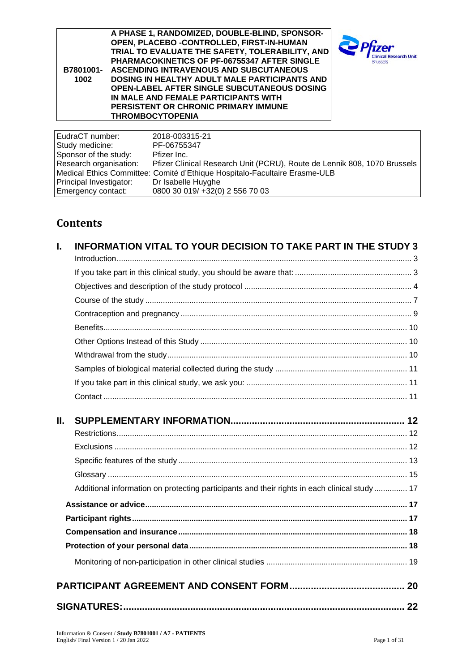| B7801001-<br>1002 | A PHASE 1, RANDOMIZED, DOUBLE-BLIND, SPONSOR-<br>OPEN, PLACEBO -CONTROLLED, FIRST-IN-HUMAN<br>TRIAL TO EVALUATE THE SAFETY, TOLERABILITY, AND<br><b>PHARMACOKINETICS OF PF-06755347 AFTER SINGLE</b><br>ASCENDING INTRAVENOUS AND SUBCUTANEOUS<br><b>DOSING IN HEALTHY ADULT MALE PARTICIPANTS AND</b><br><b>OPEN-LABEL AFTER SINGLE SUBCUTANEOUS DOSING</b><br>IN MALE AND FEMALE PARTICIPANTS WITH<br><b>PERSISTENT OR CHRONIC PRIMARY IMMUNE</b><br><b>THROMBOCYTOPENIA</b> | <b>Clinical Research Unit</b><br><b>Brussels</b> |
|-------------------|--------------------------------------------------------------------------------------------------------------------------------------------------------------------------------------------------------------------------------------------------------------------------------------------------------------------------------------------------------------------------------------------------------------------------------------------------------------------------------|--------------------------------------------------|
| EudraCT number:   | 2018-003315-21                                                                                                                                                                                                                                                                                                                                                                                                                                                                 |                                                  |

EudraCT number: 2018-003315-21 Study medicine: PF-06755347 Sponsor of the study: Pfizer Inc.<br>Research organisation: Pfizer Clini Pfizer Clinical Research Unit (PCRU), Route de Lennik 808, 1070 Brussels Medical Ethics Committee: Comité d'Ethique Hospitalo-Facultaire Erasme-ULB Principal Investigator:<br>Emergency contact: Dr Isabelle Huyghe<br>0800 30 019/ +32(0) 2 556 70 03

# **Contents**

| I. | <b>INFORMATION VITAL TO YOUR DECISION TO TAKE PART IN THE STUDY 3</b>                         |  |
|----|-----------------------------------------------------------------------------------------------|--|
|    |                                                                                               |  |
|    |                                                                                               |  |
|    |                                                                                               |  |
|    |                                                                                               |  |
|    |                                                                                               |  |
|    |                                                                                               |  |
|    |                                                                                               |  |
|    |                                                                                               |  |
|    |                                                                                               |  |
|    |                                                                                               |  |
| Ш. |                                                                                               |  |
|    |                                                                                               |  |
|    |                                                                                               |  |
|    |                                                                                               |  |
|    |                                                                                               |  |
|    | Additional information on protecting participants and their rights in each clinical study  17 |  |
|    |                                                                                               |  |
|    |                                                                                               |  |
|    |                                                                                               |  |
|    |                                                                                               |  |
|    |                                                                                               |  |
|    |                                                                                               |  |
|    |                                                                                               |  |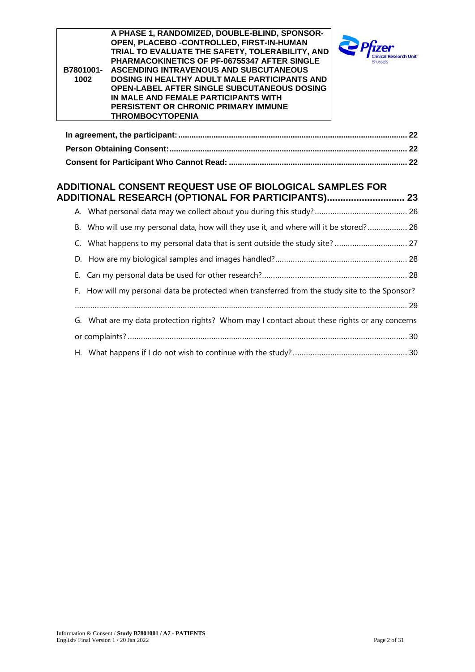| B7801001-<br>1002 | A PHASE 1, RANDOMIZED, DOUBLE-BLIND, SPONSOR-<br>OPEN, PLACEBO - CONTROLLED, FIRST-IN-HUMAN<br>TRIAL TO EVALUATE THE SAFETY, TOLERABILITY, AND<br>PHARMACOKINETICS OF PF-06755347 AFTER SINGLE<br>ASCENDING INTRAVENOUS AND SUBCUTANEOUS<br>DOSING IN HEALTHY ADULT MALE PARTICIPANTS AND<br>OPEN-LABEL AFTER SINGLE SUBCUTANEOUS DOSING<br>IN MALE AND FEMALE PARTICIPANTS WITH<br>PERSISTENT OR CHRONIC PRIMARY IMMUNE<br><b>THROMBOCYTOPENIA</b> |  |
|-------------------|-----------------------------------------------------------------------------------------------------------------------------------------------------------------------------------------------------------------------------------------------------------------------------------------------------------------------------------------------------------------------------------------------------------------------------------------------------|--|
|                   |                                                                                                                                                                                                                                                                                                                                                                                                                                                     |  |
|                   |                                                                                                                                                                                                                                                                                                                                                                                                                                                     |  |
|                   |                                                                                                                                                                                                                                                                                                                                                                                                                                                     |  |
|                   | ADDITIONAL CONSENT REQUEST USE OF BIOLOGICAL SAMPLES FOR<br><b>ADDITIONAL RESEARCH (OPTIONAL FOR PARTICIPANTS) 23</b>                                                                                                                                                                                                                                                                                                                               |  |
|                   |                                                                                                                                                                                                                                                                                                                                                                                                                                                     |  |
|                   | B. Who will use my personal data, how will they use it, and where will it be stored? 26                                                                                                                                                                                                                                                                                                                                                             |  |
| $\mathsf{C}$ .    | What happens to my personal data that is sent outside the study site?  27                                                                                                                                                                                                                                                                                                                                                                           |  |
| D.                |                                                                                                                                                                                                                                                                                                                                                                                                                                                     |  |
| E.                |                                                                                                                                                                                                                                                                                                                                                                                                                                                     |  |
|                   | F. How will my personal data be protected when transferred from the study site to the Sponsor?                                                                                                                                                                                                                                                                                                                                                      |  |
|                   |                                                                                                                                                                                                                                                                                                                                                                                                                                                     |  |
|                   | G. What are my data protection rights? Whom may I contact about these rights or any concerns                                                                                                                                                                                                                                                                                                                                                        |  |
|                   |                                                                                                                                                                                                                                                                                                                                                                                                                                                     |  |
|                   |                                                                                                                                                                                                                                                                                                                                                                                                                                                     |  |
|                   |                                                                                                                                                                                                                                                                                                                                                                                                                                                     |  |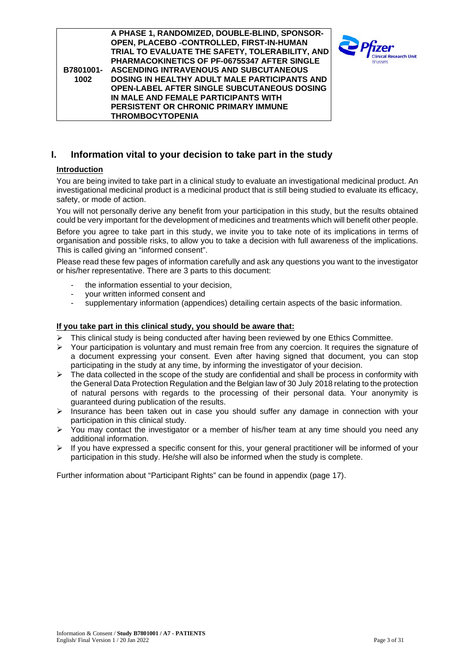**B7801001- 1002 A PHASE 1, RANDOMIZED, DOUBLE-BLIND, SPONSOR-OPEN, PLACEBO -CONTROLLED, FIRST-IN-HUMAN TRIAL TO EVALUATE THE SAFETY, TOLERABILITY, AND PHARMACOKINETICS OF PF-06755347 AFTER SINGLE ASCENDING INTRAVENOUS AND SUBCUTANEOUS DOSING IN HEALTHY ADULT MALE PARTICIPANTS AND OPEN-LABEL AFTER SINGLE SUBCUTANEOUS DOSING IN MALE AND FEMALE PARTICIPANTS WITH PERSISTENT OR CHRONIC PRIMARY IMMUNE THROMBOCYTOPENIA**



# <span id="page-2-0"></span>**I. Information vital to your decision to take part in the study**

### <span id="page-2-1"></span>**Introduction**

You are being invited to take part in a clinical study to evaluate an investigational medicinal product. An investigational medicinal product is a medicinal product that is still being studied to evaluate its efficacy, safety, or mode of action.

You will not personally derive any benefit from your participation in this study, but the results obtained could be very important for the development of medicines and treatments which will benefit other people.

Before you agree to take part in this study, we invite you to take note of its implications in terms of organisation and possible risks, to allow you to take a decision with full awareness of the implications. This is called giving an "informed consent".

Please read these few pages of information carefully and ask any questions you want to the investigator or his/her representative. There are 3 parts to this document:

- the information essential to your decision,
- your written informed consent and<br>supplementary information (appen-
- supplementary information (appendices) detailing certain aspects of the basic information.

#### <span id="page-2-2"></span>**If you take part in this clinical study, you should be aware that:**

- $\triangleright$  This clinical study is being conducted after having been reviewed by one Ethics Committee.
- $\triangleright$  Your participation is voluntary and must remain free from any coercion. It requires the signature of a document expressing your consent. Even after having signed that document, you can stop participating in the study at any time, by informing the investigator of your decision.
- $\triangleright$  The data collected in the scope of the study are confidential and shall be process in conformity with the General Data Protection Regulation and the Belgian law of 30 July 2018 relating to the protection of natural persons with regards to the processing of their personal data. Your anonymity is guaranteed during publication of the results.
- $\triangleright$  Insurance has been taken out in case you should suffer any damage in connection with your participation in this clinical study.
- $\triangleright$  You may contact the investigator or a member of his/her team at any time should you need any additional information.
- $\triangleright$  If you have expressed a specific consent for this, your general practitioner will be informed of your participation in this study. He/she will also be informed when the study is complete.

Further information about "Participant Rights" can be found in appendix (page [17\)](#page-16-2).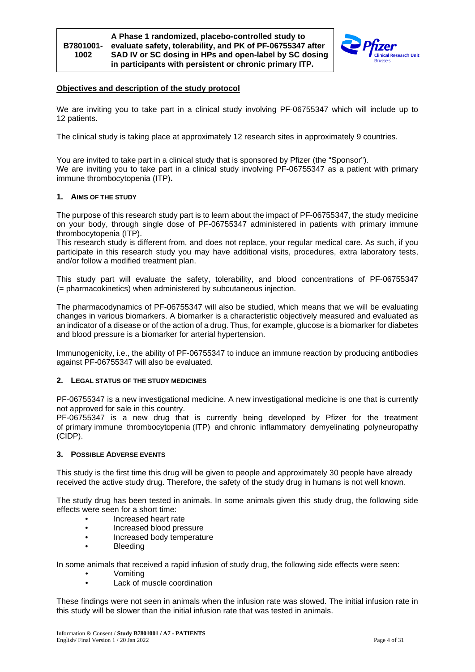

#### <span id="page-3-0"></span>**Objectives and description of the study protocol**

We are inviting you to take part in a clinical study involving PF-06755347 which will include up to 12 patients.

The clinical study is taking place at approximately 12 research sites in approximately 9 countries.

You are invited to take part in a clinical study that is sponsored by Pfizer (the "Sponsor"). We are inviting you to take part in a clinical study involving PF-06755347 as a patient with primary immune thrombocytopenia (ITP)**.**

#### **1. AIMS OF THE STUDY**

The purpose of this research study part is to learn about the impact of PF-06755347, the study medicine on your body, through single dose of PF-06755347 administered in patients with primary immune thrombocytopenia (ITP).

This research study is different from, and does not replace, your regular medical care. As such, if you participate in this research study you may have additional visits, procedures, extra laboratory tests, and/or follow a modified treatment plan.

This study part will evaluate the safety, tolerability, and blood concentrations of PF-06755347 (= pharmacokinetics) when administered by subcutaneous injection.

The pharmacodynamics of PF-06755347 will also be studied, which means that we will be evaluating changes in various biomarkers. A biomarker is a characteristic objectively measured and evaluated as an indicator of a disease or of the action of a drug. Thus, for example, glucose is a biomarker for diabetes and blood pressure is a biomarker for arterial hypertension.

Immunogenicity, i.e., the ability of PF-06755347 to induce an immune reaction by producing antibodies against PF-06755347 will also be evaluated.

#### **2. LEGAL STATUS OF THE STUDY MEDICINES**

PF-06755347 is a new investigational medicine. A new investigational medicine is one that is currently not approved for sale in this country.

PF-06755347 is a new drug that is currently being developed by Pfizer for the treatment of primary immune thrombocytopenia (ITP) and chronic inflammatory demyelinating polyneuropathy (CIDP).

#### **3. POSSIBLE ADVERSE EVENTS**

This study is the first time this drug will be given to people and approximately 30 people have already received the active study drug. Therefore, the safety of the study drug in humans is not well known.

The study drug has been tested in animals. In some animals given this study drug, the following side effects were seen for a short time:

- Increased heart rate
- Increased blood pressure
- Increased body temperature
- Bleeding

In some animals that received a rapid infusion of study drug, the following side effects were seen:

- Vomiting
- Lack of muscle coordination

These findings were not seen in animals when the infusion rate was slowed. The initial infusion rate in this study will be slower than the initial infusion rate that was tested in animals.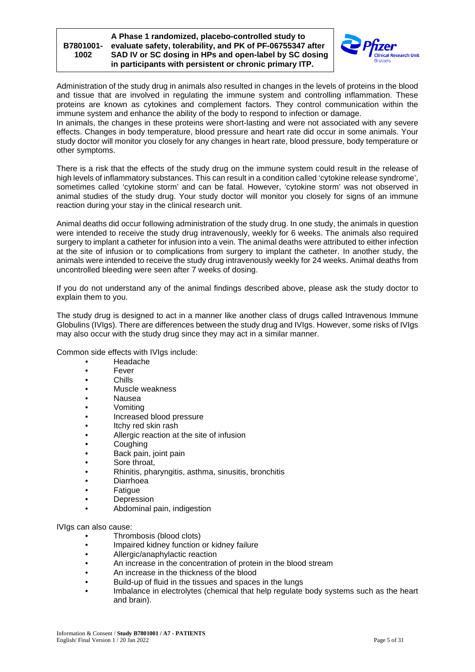

Administration of the study drug in animals also resulted in changes in the levels of proteins in the blood and tissue that are involved in regulating the immune system and controlling inflammation. These proteins are known as cytokines and complement factors. They control communication within the immune system and enhance the ability of the body to respond to infection or damage.

In animals, the changes in these proteins were short-lasting and were not associated with any severe effects. Changes in body temperature, blood pressure and heart rate did occur in some animals. Your study doctor will monitor you closely for any changes in heart rate, blood pressure, body temperature or other symptoms.

There is a risk that the effects of the study drug on the immune system could result in the release of high levels of inflammatory substances. This can result in a condition called 'cytokine release syndrome', sometimes called 'cytokine storm' and can be fatal. However, 'cytokine storm' was not observed in animal studies of the study drug. Your study doctor will monitor you closely for signs of an immune reaction during your stay in the clinical research unit.

Animal deaths did occur following administration of the study drug. In one study, the animals in question were intended to receive the study drug intravenously, weekly for 6 weeks. The animals also required surgery to implant a catheter for infusion into a vein. The animal deaths were attributed to either infection at the site of infusion or to complications from surgery to implant the catheter. In another study, the animals were intended to receive the study drug intravenously weekly for 24 weeks. Animal deaths from uncontrolled bleeding were seen after 7 weeks of dosing.

If you do not understand any of the animal findings described above, please ask the study doctor to explain them to you.

The study drug is designed to act in a manner like another class of drugs called Intravenous Immune Globulins (IVIgs). There are differences between the study drug and IVIgs. However, some risks of IVIgs may also occur with the study drug since they may act in a similar manner.

Common side effects with IVIgs include:

- Headache
- Fever
- Chills
- Muscle weakness
- Nausea
- Vomiting
- Increased blood pressure<br>• Itchy red skin rash
- Itchy red skin rash
- Allergic reaction at the site of infusion
- Coughing
- Back pain, joint pain
- Sore throat,
- Rhinitis, pharyngitis, asthma, sinusitis, bronchitis
- Diarrhoea
- Fatigue
- Depression
- Abdominal pain, indigestion

IVIgs can also cause:

- Thrombosis (blood clots)
- Impaired kidney function or kidney failure
- Allergic/anaphylactic reaction
- An increase in the concentration of protein in the blood stream
- An increase in the thickness of the blood
- Build-up of fluid in the tissues and spaces in the lungs
- Imbalance in electrolytes (chemical that help regulate body systems such as the heart and brain).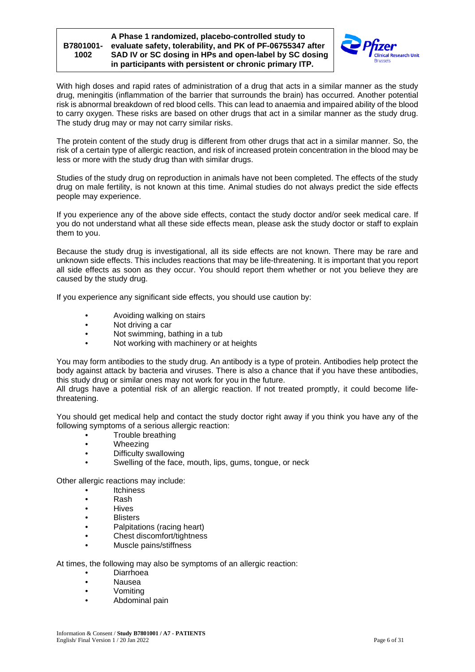

With high doses and rapid rates of administration of a drug that acts in a similar manner as the study drug, meningitis (inflammation of the barrier that surrounds the brain) has occurred. Another potential risk is abnormal breakdown of red blood cells. This can lead to anaemia and impaired ability of the blood to carry oxygen. These risks are based on other drugs that act in a similar manner as the study drug. The study drug may or may not carry similar risks.

The protein content of the study drug is different from other drugs that act in a similar manner. So, the risk of a certain type of allergic reaction, and risk of increased protein concentration in the blood may be less or more with the study drug than with similar drugs.

Studies of the study drug on reproduction in animals have not been completed. The effects of the study drug on male fertility, is not known at this time. Animal studies do not always predict the side effects people may experience.

If you experience any of the above side effects, contact the study doctor and/or seek medical care. If you do not understand what all these side effects mean, please ask the study doctor or staff to explain them to you.

Because the study drug is investigational, all its side effects are not known. There may be rare and unknown side effects. This includes reactions that may be life-threatening. It is important that you report all side effects as soon as they occur. You should report them whether or not you believe they are caused by the study drug.

If you experience any significant side effects, you should use caution by:

- Avoiding walking on stairs
- Not driving a car
- Not swimming, bathing in a tub
- Not working with machinery or at heights

You may form antibodies to the study drug. An antibody is a type of protein. Antibodies help protect the body against attack by bacteria and viruses. There is also a chance that if you have these antibodies, this study drug or similar ones may not work for you in the future.

All drugs have a potential risk of an allergic reaction. If not treated promptly, it could become lifethreatening.

You should get medical help and contact the study doctor right away if you think you have any of the following symptoms of a serious allergic reaction:

- Trouble breathing
- Wheezing
- Difficulty swallowing
- Swelling of the face, mouth, lips, gums, tongue, or neck

Other allergic reactions may include:

- Itchiness
- Rash
- Hives
- Blisters
- Palpitations (racing heart)<br>• Chest discomfort/tightness
- Chest discomfort/tightness
- Muscle pains/stiffness

At times, the following may also be symptoms of an allergic reaction:

- Diarrhoea
- Nausea
- Vomiting
- Abdominal pain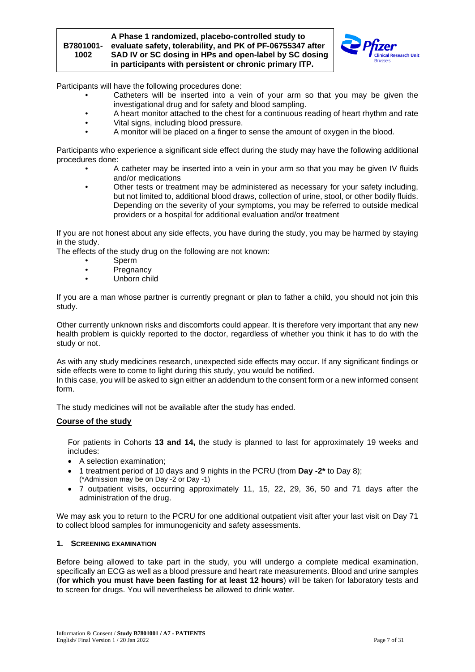

Participants will have the following procedures done:

- Catheters will be inserted into a vein of your arm so that you may be given the investigational drug and for safety and blood sampling.
- A heart monitor attached to the chest for a continuous reading of heart rhythm and rate
- Vital signs, including blood pressure.
- A monitor will be placed on a finger to sense the amount of oxygen in the blood.

Participants who experience a significant side effect during the study may have the following additional procedures done:

- A catheter may be inserted into a vein in your arm so that you may be given IV fluids and/or medications
- Other tests or treatment may be administered as necessary for your safety including, but not limited to, additional blood draws, collection of urine, stool, or other bodily fluids. Depending on the severity of your symptoms, you may be referred to outside medical providers or a hospital for additional evaluation and/or treatment

If you are not honest about any side effects, you have during the study, you may be harmed by staying in the study.

The effects of the study drug on the following are not known:

- Sperm<br>• Pregna
- **Pregnancy**
- Unborn child

If you are a man whose partner is currently pregnant or plan to father a child, you should not join this study.

Other currently unknown risks and discomforts could appear. It is therefore very important that any new health problem is quickly reported to the doctor, regardless of whether you think it has to do with the study or not.

As with any study medicines research, unexpected side effects may occur. If any significant findings or side effects were to come to light during this study, you would be notified.

In this case, you will be asked to sign either an addendum to the consent form or a new informed consent form.

The study medicines will not be available after the study has ended.

#### <span id="page-6-0"></span>**Course of the study**

For patients in Cohorts **13 and 14,** the study is planned to last for approximately 19 weeks and includes:

- A selection examination;
- 1 treatment period of 10 days and 9 nights in the PCRU (from **Day -2\*** to Day 8); (\*Admission may be on Day -2 or Day -1)
- 7 outpatient visits, occurring approximately 11, 15, 22, 29, 36, 50 and 71 days after the administration of the drug.

We may ask you to return to the PCRU for one additional outpatient visit after your last visit on Day 71 to collect blood samples for immunogenicity and safety assessments.

#### **1. SCREENING EXAMINATION**

Before being allowed to take part in the study, you will undergo a complete medical examination, specifically an ECG as well as a blood pressure and heart rate measurements. Blood and urine samples (**for which you must have been fasting for at least 12 hours**) will be taken for laboratory tests and to screen for drugs. You will nevertheless be allowed to drink water.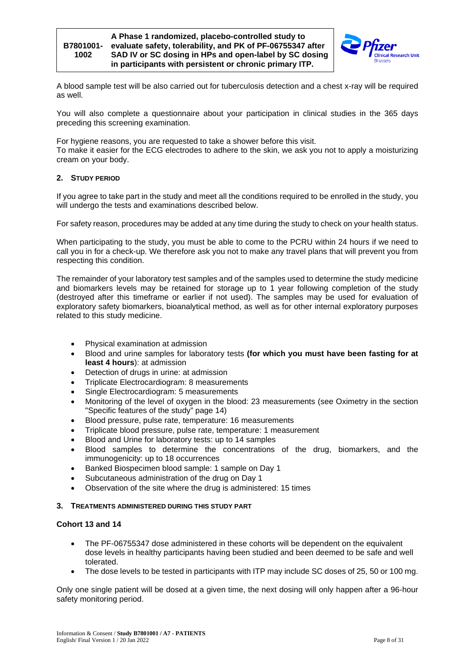

A blood sample test will be also carried out for tuberculosis detection and a chest x-ray will be required as well.

You will also complete a questionnaire about your participation in clinical studies in the 365 days preceding this screening examination.

For hygiene reasons, you are requested to take a shower before this visit. To make it easier for the ECG electrodes to adhere to the skin, we ask you not to apply a moisturizing cream on your body.

### **2. STUDY PERIOD**

If you agree to take part in the study and meet all the conditions required to be enrolled in the study, you will undergo the tests and examinations described below.

For safety reason, procedures may be added at any time during the study to check on your health status.

When participating to the study, you must be able to come to the PCRU within 24 hours if we need to call you in for a check-up. We therefore ask you not to make any travel plans that will prevent you from respecting this condition.

The remainder of your laboratory test samples and of the samples used to determine the study medicine and biomarkers levels may be retained for storage up to 1 year following completion of the study (destroyed after this timeframe or earlier if not used). The samples may be used for evaluation of exploratory safety biomarkers, bioanalytical method, as well as for other internal exploratory purposes related to this study medicine.

- Physical examination at admission
- Blood and urine samples for laboratory tests **(for which you must have been fasting for at least 4 hours**): at admission
- Detection of drugs in urine: at admission
- Triplicate Electrocardiogram: 8 measurements
- Single Electrocardiogram: 5 measurements
- Monitoring of the level of oxygen in the blood: 23 measurements (see Oximetry in the section "Specific features of the study" page [14\)](#page-13-0)
- Blood pressure, pulse rate, temperature: 16 measurements
- Triplicate blood pressure, pulse rate, temperature: 1 measurement
- Blood and Urine for laboratory tests: up to 14 samples
- Blood samples to determine the concentrations of the drug, biomarkers, and the immunogenicity: up to 18 occurrences
- Banked Biospecimen blood sample: 1 sample on Day 1
- Subcutaneous administration of the drug on Day 1
- Observation of the site where the drug is administered: 15 times

#### **3. TREATMENTS ADMINISTERED DURING THIS STUDY PART**

#### **Cohort 13 and 14**

- The PF-06755347 dose administered in these cohorts will be dependent on the equivalent dose levels in healthy participants having been studied and been deemed to be safe and well tolerated.
- The dose levels to be tested in participants with ITP may include SC doses of 25, 50 or 100 mg.

Only one single patient will be dosed at a given time, the next dosing will only happen after a 96-hour safety monitoring period.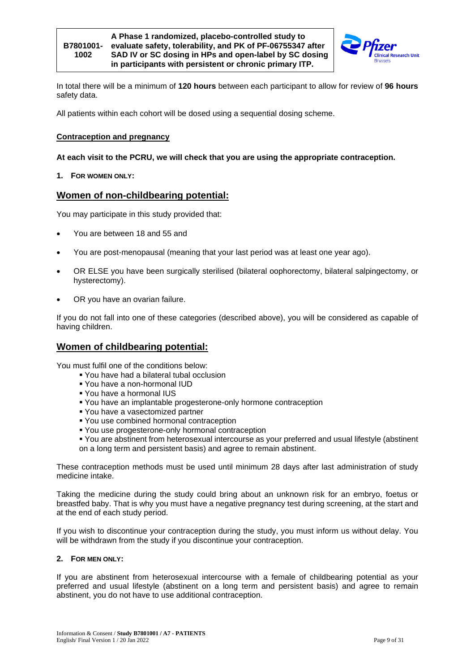

In total there will be a minimum of **120 hours** between each participant to allow for review of **96 hours** safety data.

All patients within each cohort will be dosed using a sequential dosing scheme.

### <span id="page-8-0"></span>**Contraception and pregnancy**

#### **At each visit to the PCRU, we will check that you are using the appropriate contraception.**

**1. FOR WOMEN ONLY:**

## **Women of non-childbearing potential:**

You may participate in this study provided that:

- You are between 18 and 55 and
- You are post-menopausal (meaning that your last period was at least one year ago).
- OR ELSE you have been surgically sterilised (bilateral oophorectomy, bilateral salpingectomy, or hysterectomy).
- OR you have an ovarian failure.

If you do not fall into one of these categories (described above), you will be considered as capable of having children.

# **Women of childbearing potential:**

You must fulfil one of the conditions below:

- You have had a bilateral tubal occlusion
- You have a non-hormonal IUD
- You have a hormonal IUS
- You have an implantable progesterone-only hormone contraception
- You have a vasectomized partner
- You use combined hormonal contraception
- You use progesterone-only hormonal contraception
- You are abstinent from heterosexual intercourse as your preferred and usual lifestyle (abstinent on a long term and persistent basis) and agree to remain abstinent.

These contraception methods must be used until minimum 28 days after last administration of study medicine intake.

Taking the medicine during the study could bring about an unknown risk for an embryo, foetus or breastfed baby. That is why you must have a negative pregnancy test during screening, at the start and at the end of each study period.

If you wish to discontinue your contraception during the study, you must inform us without delay. You will be withdrawn from the study if you discontinue your contraception.

### **2. FOR MEN ONLY:**

If you are abstinent from heterosexual intercourse with a female of childbearing potential as your preferred and usual lifestyle (abstinent on a long term and persistent basis) and agree to remain abstinent, you do not have to use additional contraception.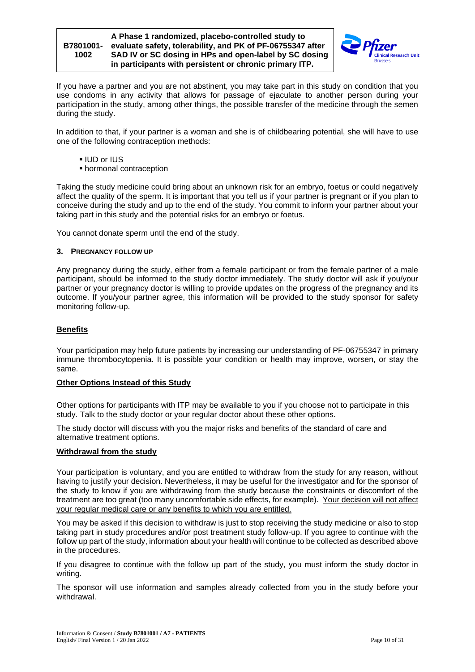

If you have a partner and you are not abstinent, you may take part in this study on condition that you use condoms in any activity that allows for passage of ejaculate to another person during your participation in the study, among other things, the possible transfer of the medicine through the semen during the study.

In addition to that, if your partner is a woman and she is of childbearing potential, she will have to use one of the following contraception methods:

- IUD or IUS
- hormonal contraception

Taking the study medicine could bring about an unknown risk for an embryo, foetus or could negatively affect the quality of the sperm. It is important that you tell us if your partner is pregnant or if you plan to conceive during the study and up to the end of the study. You commit to inform your partner about your taking part in this study and the potential risks for an embryo or foetus.

You cannot donate sperm until the end of the study.

#### **3. PREGNANCY FOLLOW UP**

Any pregnancy during the study, either from a female participant or from the female partner of a male participant, should be informed to the study doctor immediately. The study doctor will ask if you/your partner or your pregnancy doctor is willing to provide updates on the progress of the pregnancy and its outcome. If you/your partner agree, this information will be provided to the study sponsor for safety monitoring follow-up.

#### <span id="page-9-0"></span>**Benefits**

Your participation may help future patients by increasing our understanding of PF-06755347 in primary immune thrombocytopenia. It is possible your condition or health may improve, worsen, or stay the same.

#### <span id="page-9-1"></span>**Other Options Instead of this Study**

Other options for participants with ITP may be available to you if you choose not to participate in this study. Talk to the study doctor or your regular doctor about these other options.

The study doctor will discuss with you the major risks and benefits of the standard of care and alternative treatment options.

#### <span id="page-9-2"></span>**Withdrawal from the study**

Your participation is voluntary, and you are entitled to withdraw from the study for any reason, without having to justify your decision. Nevertheless, it may be useful for the investigator and for the sponsor of the study to know if you are withdrawing from the study because the constraints or discomfort of the treatment are too great (too many uncomfortable side effects, for example). Your decision will not affect your regular medical care or any benefits to which you are entitled.

You may be asked if this decision to withdraw is just to stop receiving the study medicine or also to stop taking part in study procedures and/or post treatment study follow-up. If you agree to continue with the follow up part of the study, information about your health will continue to be collected as described above in the procedures.

If you disagree to continue with the follow up part of the study, you must inform the study doctor in writing.

The sponsor will use information and samples already collected from you in the study before your withdrawal.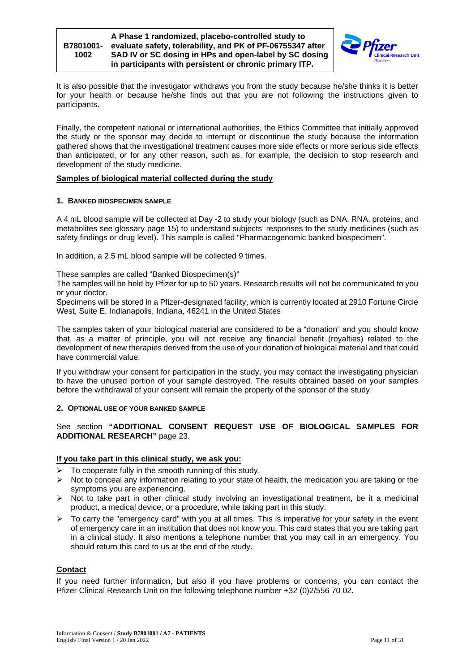

It is also possible that the investigator withdraws you from the study because he/she thinks it is better for your health or because he/she finds out that you are not following the instructions given to participants.

Finally, the competent national or international authorities, the Ethics Committee that initially approved the study or the sponsor may decide to interrupt or discontinue the study because the information gathered shows that the investigational treatment causes more side effects or more serious side effects than anticipated, or for any other reason, such as, for example, the decision to stop research and development of the study medicine.

#### <span id="page-10-0"></span>**Samples of biological material collected during the study**

#### **1. BANKED BIOSPECIMEN SAMPLE**

A 4 mL blood sample will be collected at Day -2 to study your biology (such as DNA, RNA, proteins, and metabolites see glossary page [15\)](#page-14-0) to understand subjects' responses to the study medicines (such as safety findings or drug level). This sample is called "Pharmacogenomic banked biospecimen".

In addition, a 2.5 mL blood sample will be collected 9 times.

These samples are called "Banked Biospecimen(s)"

The samples will be held by Pfizer for up to 50 years. Research results will not be communicated to you or your doctor.

Specimens will be stored in a Pfizer-designated facility, which is currently located at 2910 Fortune Circle West, Suite E, Indianapolis, Indiana, 46241 in the United States

The samples taken of your biological material are considered to be a "donation" and you should know that, as a matter of principle, you will not receive any financial benefit (royalties) related to the development of new therapies derived from the use of your donation of biological material and that could have commercial value.

If you withdraw your consent for participation in the study, you may contact the investigating physician to have the unused portion of your sample destroyed. The results obtained based on your samples before the withdrawal of your consent will remain the property of the sponsor of the study.

#### **2. OPTIONAL USE OF YOUR BANKED SAMPLE**

See section **"ADDITIONAL CONSENT REQUEST USE OF BIOLOGICAL SAMPLES FOR ADDITIONAL RESEARCH"** page [23.](#page-22-0)

### <span id="page-10-1"></span>**If you take part in this clinical study, we ask you:**

- To cooperate fully in the smooth running of this study.
- $\triangleright$  Not to conceal any information relating to your state of health, the medication you are taking or the symptoms you are experiencing.
- $\triangleright$  Not to take part in other clinical study involving an investigational treatment, be it a medicinal product, a medical device, or a procedure, while taking part in this study.
- $\triangleright$  To carry the "emergency card" with you at all times. This is imperative for your safety in the event of emergency care in an institution that does not know you. This card states that you are taking part in a clinical study. It also mentions a telephone number that you may call in an emergency. You should return this card to us at the end of the study.

### <span id="page-10-2"></span>**Contact**

If you need further information, but also if you have problems or concerns, you can contact the Pfizer Clinical Research Unit on the following telephone number +32 (0)2/556 70 02.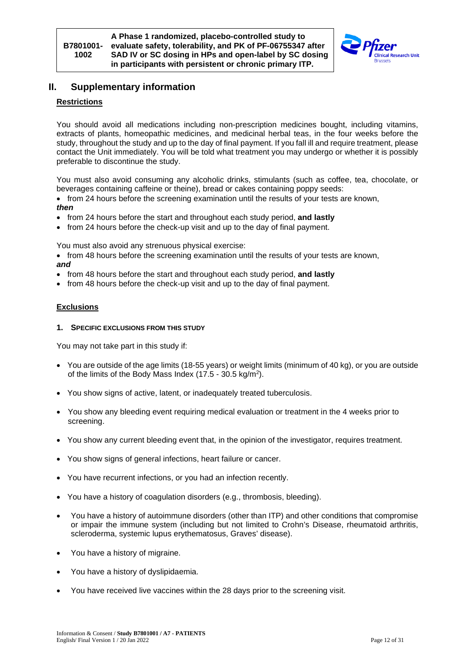

# <span id="page-11-0"></span>**II. Supplementary information**

### <span id="page-11-1"></span>**Restrictions**

You should avoid all medications including non-prescription medicines bought, including vitamins, extracts of plants, homeopathic medicines, and medicinal herbal teas, in the four weeks before the study, throughout the study and up to the day of final payment. If you fall ill and require treatment, please contact the Unit immediately. You will be told what treatment you may undergo or whether it is possibly preferable to discontinue the study.

You must also avoid consuming any alcoholic drinks, stimulants (such as coffee, tea, chocolate, or beverages containing caffeine or theine), bread or cakes containing poppy seeds:

- from 24 hours before the screening examination until the results of your tests are known, *then*
- from 24 hours before the start and throughout each study period, **and lastly**
- from 24 hours before the check-up visit and up to the day of final payment.

You must also avoid any strenuous physical exercise:

- from 48 hours before the screening examination until the results of your tests are known. *and*
- from 48 hours before the start and throughout each study period, **and lastly**
- from 48 hours before the check-up visit and up to the day of final payment.

#### <span id="page-11-2"></span>**Exclusions**

**1. SPECIFIC EXCLUSIONS FROM THIS STUDY**

You may not take part in this study if:

- You are outside of the age limits (18-55 years) or weight limits (minimum of 40 kg), or you are outside of the limits of the Body Mass Index (17.5 - 30.5 kg/m2).
- You show signs of active, latent, or inadequately treated tuberculosis.
- You show any bleeding event requiring medical evaluation or treatment in the 4 weeks prior to screening.
- You show any current bleeding event that, in the opinion of the investigator, requires treatment.
- You show signs of general infections, heart failure or cancer.
- You have recurrent infections, or you had an infection recently.
- You have a history of coagulation disorders (e.g., thrombosis, bleeding).
- You have a history of autoimmune disorders (other than ITP) and other conditions that compromise or impair the immune system (including but not limited to Crohn's Disease, rheumatoid arthritis, scleroderma, systemic lupus erythematosus, Graves' disease).
- You have a history of migraine.
- You have a history of dyslipidaemia.
- You have received live vaccines within the 28 days prior to the screening visit.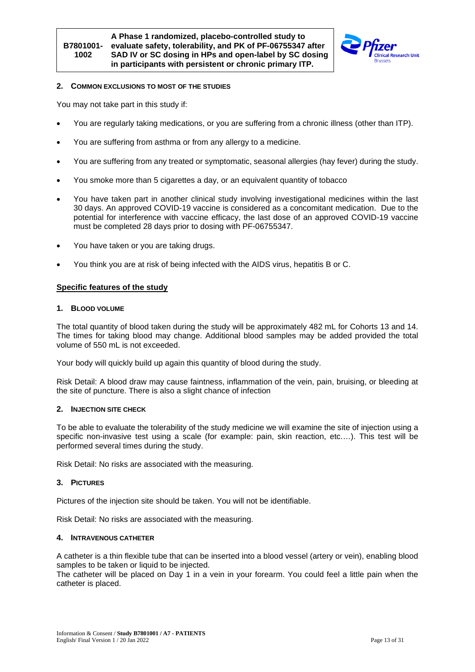

#### **2. COMMON EXCLUSIONS TO MOST OF THE STUDIES**

You may not take part in this study if:

- You are regularly taking medications, or you are suffering from a chronic illness (other than ITP).
- You are suffering from asthma or from any allergy to a medicine.
- You are suffering from any treated or symptomatic, seasonal allergies (hay fever) during the study.
- You smoke more than 5 cigarettes a day, or an equivalent quantity of tobacco
- You have taken part in another clinical study involving investigational medicines within the last 30 days. An approved COVID-19 vaccine is considered as a concomitant medication. Due to the potential for interference with vaccine efficacy, the last dose of an approved COVID-19 vaccine must be completed 28 days prior to dosing with PF-06755347.
- You have taken or you are taking drugs.
- You think you are at risk of being infected with the AIDS virus, hepatitis B or C.

#### <span id="page-12-0"></span>**Specific features of the study**

#### **1. BLOOD VOLUME**

The total quantity of blood taken during the study will be approximately 482 mL for Cohorts 13 and 14. The times for taking blood may change. Additional blood samples may be added provided the total volume of 550 mL is not exceeded.

Your body will quickly build up again this quantity of blood during the study.

Risk Detail: A blood draw may cause faintness, inflammation of the vein, pain, bruising, or bleeding at the site of puncture. There is also a slight chance of infection

#### **2. INJECTION SITE CHECK**

To be able to evaluate the tolerability of the study medicine we will examine the site of injection using a specific non-invasive test using a scale (for example: pain, skin reaction, etc.…). This test will be performed several times during the study.

Risk Detail: No risks are associated with the measuring.

#### **3. PICTURES**

Pictures of the injection site should be taken. You will not be identifiable.

Risk Detail: No risks are associated with the measuring.

#### **4. INTRAVENOUS CATHETER**

A catheter is a thin flexible tube that can be inserted into a blood vessel (artery or vein), enabling blood samples to be taken or liquid to be injected.

The catheter will be placed on Day 1 in a vein in your forearm. You could feel a little pain when the catheter is placed.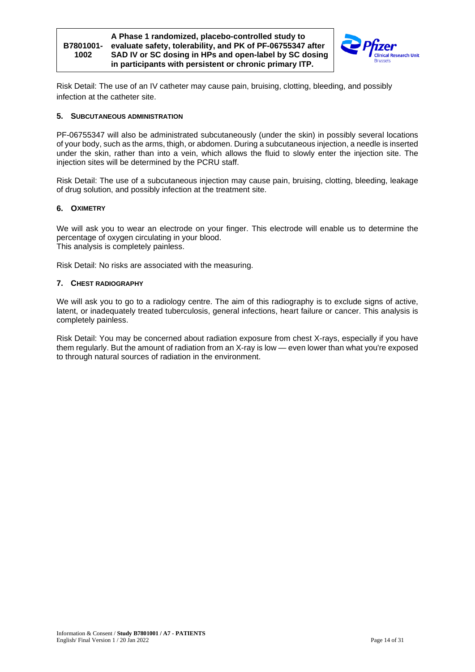



Risk Detail: The use of an IV catheter may cause pain, bruising, clotting, bleeding, and possibly infection at the catheter site.

#### **5. SUBCUTANEOUS ADMINISTRATION**

PF-06755347 will also be administrated subcutaneously (under the skin) in possibly several locations of your body, such as the arms, thigh, or abdomen. During a subcutaneous injection, a needle is inserted under the skin, rather than into a vein, which allows the fluid to slowly enter the injection site. The injection sites will be determined by the PCRU staff.

Risk Detail: The use of a subcutaneous injection may cause pain, bruising, clotting, bleeding, leakage of drug solution, and possibly infection at the treatment site.

#### <span id="page-13-0"></span>**6. OXIMETRY**

We will ask you to wear an electrode on your finger. This electrode will enable us to determine the percentage of oxygen circulating in your blood. This analysis is completely painless.

Risk Detail: No risks are associated with the measuring.

#### **7. CHEST RADIOGRAPHY**

We will ask you to go to a radiology centre. The aim of this radiography is to exclude signs of active, latent, or inadequately treated tuberculosis, general infections, heart failure or cancer. This analysis is completely painless.

Risk Detail: You may be concerned about radiation exposure from chest X-rays, especially if you have them regularly. But the amount of radiation from an X-ray is low — even lower than what you're exposed to through natural sources of radiation in the environment.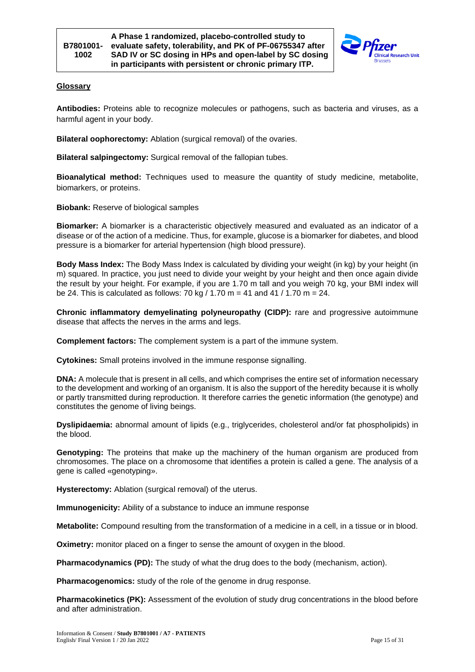

### <span id="page-14-0"></span>**Glossary**

**Antibodies:** Proteins able to recognize molecules or pathogens, such as bacteria and viruses, as a harmful agent in your body.

**Bilateral oophorectomy:** Ablation (surgical removal) of the ovaries.

**Bilateral salpingectomy:** Surgical removal of the fallopian tubes.

**Bioanalytical method:** Techniques used to measure the quantity of study medicine, metabolite, biomarkers, or proteins.

**Biobank:** Reserve of biological samples

**Biomarker:** A biomarker is a characteristic objectively measured and evaluated as an indicator of a disease or of the action of a medicine. Thus, for example, glucose is a biomarker for diabetes, and blood pressure is a biomarker for arterial hypertension (high blood pressure).

**Body Mass Index:** The Body Mass Index is calculated by dividing your weight (in kg) by your height (in m) squared. In practice, you just need to divide your weight by your height and then once again divide the result by your height. For example, if you are 1.70 m tall and you weigh 70 kg, your BMI index will be 24. This is calculated as follows: 70 kg  $/$  1.70 m = 41 and 41  $/$  1.70 m = 24.

**Chronic inflammatory demyelinating polyneuropathy (CIDP):** rare and progressive autoimmune disease that affects the nerves in the arms and legs.

**Complement factors:** The complement system is a part of the immune system.

**Cytokines:** Small proteins involved in the immune response signalling.

**DNA:** A molecule that is present in all cells, and which comprises the entire set of information necessary to the development and working of an organism. It is also the support of the heredity because it is wholly or partly transmitted during reproduction. It therefore carries the genetic information (the genotype) and constitutes the genome of living beings.

**Dyslipidaemia:** abnormal amount of lipids (e.g., triglycerides, cholesterol and/or fat phospholipids) in the blood.

**Genotyping:** The proteins that make up the machinery of the human organism are produced from chromosomes. The place on a chromosome that identifies a protein is called a gene. The analysis of a gene is called «genotyping».

**Hysterectomy:** Ablation (surgical removal) of the uterus.

**Immunogenicity:** Ability of a substance to induce an immune response

**Metabolite:** Compound resulting from the transformation of a medicine in a cell, in a tissue or in blood.

**Oximetry:** monitor placed on a finger to sense the amount of oxygen in the blood.

**Pharmacodynamics (PD):** The study of what the drug does to the body (mechanism, action).

**Pharmacogenomics:** study of the role of the genome in drug response.

**Pharmacokinetics (PK):** Assessment of the evolution of study drug concentrations in the blood before and after administration.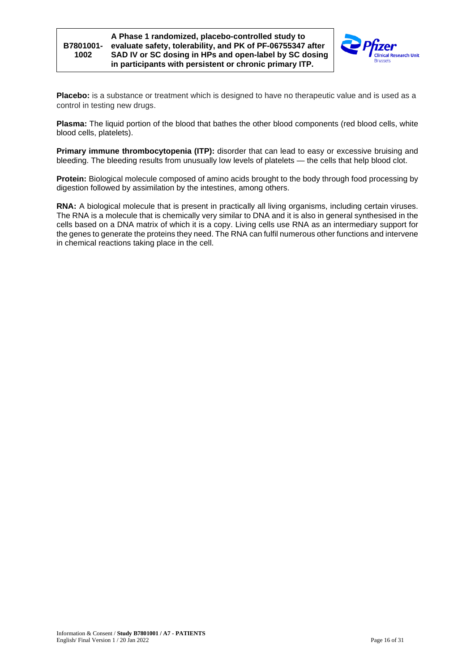

**Placebo:** is a substance or treatment which is designed to have no therapeutic value and is used as a control in testing new drugs.

**Plasma:** The liquid portion of the blood that bathes the other blood components (red blood cells, white blood cells, platelets).

**Primary immune thrombocytopenia (ITP):** disorder that can lead to easy or excessive bruising and bleeding. The bleeding results from unusually low levels of platelets — the cells that help blood clot.

**Protein:** Biological molecule composed of amino acids brought to the body through food processing by digestion followed by assimilation by the intestines, among others.

**RNA:** A biological molecule that is present in practically all living organisms, including certain viruses. The RNA is a molecule that is chemically very similar to DNA and it is also in general synthesised in the cells based on a DNA matrix of which it is a copy. Living cells use RNA as an intermediary support for the genes to generate the proteins they need. The RNA can fulfil numerous other functions and intervene in chemical reactions taking place in the cell.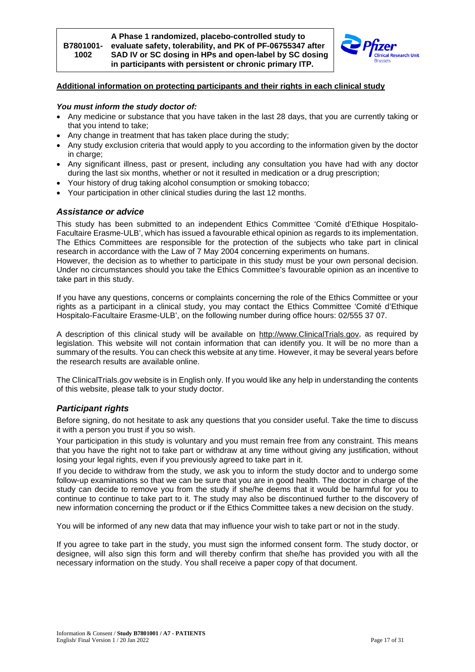

### <span id="page-16-0"></span>**Additional information on protecting participants and their rights in each clinical study**

#### *You must inform the study doctor of:*

- Any medicine or substance that you have taken in the last 28 days, that you are currently taking or that you intend to take;
- Any change in treatment that has taken place during the study;
- Any study exclusion criteria that would apply to you according to the information given by the doctor in charge:
- Any significant illness, past or present, including any consultation you have had with any doctor during the last six months, whether or not it resulted in medication or a drug prescription;
- Your history of drug taking alcohol consumption or smoking tobacco;
- <span id="page-16-1"></span>• Your participation in other clinical studies during the last 12 months.

### *Assistance or advice*

This study has been submitted to an independent Ethics Committee 'Comité d'Ethique Hospitalo-Facultaire Erasme-ULB', which has issued a favourable ethical opinion as regards to its implementation. The Ethics Committees are responsible for the protection of the subjects who take part in clinical research in accordance with the Law of 7 May 2004 concerning experiments on humans.

However, the decision as to whether to participate in this study must be your own personal decision. Under no circumstances should you take the Ethics Committee's favourable opinion as an incentive to take part in this study.

If you have any questions, concerns or complaints concerning the role of the Ethics Committee or your rights as a participant in a clinical study, you may contact the Ethics Committee 'Comité d'Ethique Hospitalo-Facultaire Erasme-ULB', on the following number during office hours: 02/555 37 07.

A description of this clinical study will be available on [http://www.ClinicalTrials.gov,](http://www.clinicaltrials.gov/) as required by legislation. This website will not contain information that can identify you. It will be no more than a summary of the results. You can check this website at any time. However, it may be several years before the research results are available online.

The ClinicalTrials.gov website is in English only. If you would like any help in understanding the contents of this website, please talk to your study doctor.

# <span id="page-16-2"></span>*Participant rights*

Before signing, do not hesitate to ask any questions that you consider useful. Take the time to discuss it with a person you trust if you so wish.

Your participation in this study is voluntary and you must remain free from any constraint. This means that you have the right not to take part or withdraw at any time without giving any justification, without losing your legal rights, even if you previously agreed to take part in it.

If you decide to withdraw from the study, we ask you to inform the study doctor and to undergo some follow-up examinations so that we can be sure that you are in good health. The doctor in charge of the study can decide to remove you from the study if she/he deems that it would be harmful for you to continue to continue to take part to it. The study may also be discontinued further to the discovery of new information concerning the product or if the Ethics Committee takes a new decision on the study.

You will be informed of any new data that may influence your wish to take part or not in the study.

If you agree to take part in the study, you must sign the informed consent form. The study doctor, or designee, will also sign this form and will thereby confirm that she/he has provided you with all the necessary information on the study. You shall receive a paper copy of that document.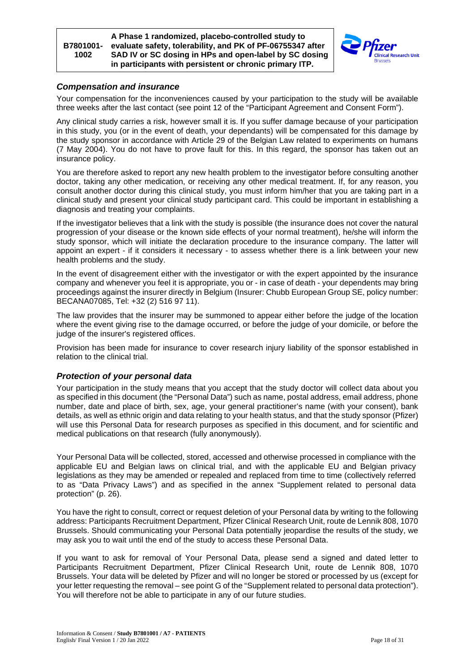



#### <span id="page-17-0"></span>*Compensation and insurance*

Your compensation for the inconveniences caused by your participation to the study will be available three weeks after the last contact (see point [12](#page-20-0) of the "Participant Agreement and Consent Form").

Any clinical study carries a risk, however small it is. If you suffer damage because of your participation in this study, you (or in the event of death, your dependants) will be compensated for this damage by the study sponsor in accordance with Article 29 of the Belgian Law related to experiments on humans (7 May 2004). You do not have to prove fault for this. In this regard, the sponsor has taken out an insurance policy.

You are therefore asked to report any new health problem to the investigator before consulting another doctor, taking any other medication, or receiving any other medical treatment. If, for any reason, you consult another doctor during this clinical study, you must inform him/her that you are taking part in a clinical study and present your clinical study participant card. This could be important in establishing a diagnosis and treating your complaints.

If the investigator believes that a link with the study is possible (the insurance does not cover the natural progression of your disease or the known side effects of your normal treatment), he/she will inform the study sponsor, which will initiate the declaration procedure to the insurance company. The latter will appoint an expert - if it considers it necessary - to assess whether there is a link between your new health problems and the study.

In the event of disagreement either with the investigator or with the expert appointed by the insurance company and whenever you feel it is appropriate, you or - in case of death - your dependents may bring proceedings against the insurer directly in Belgium (Insurer: Chubb European Group SE, policy number: BECANA07085, Tel: +32 (2) 516 97 11).

The law provides that the insurer may be summoned to appear either before the judge of the location where the event giving rise to the damage occurred, or before the judge of your domicile, or before the judge of the insurer's registered offices.

Provision has been made for insurance to cover research injury liability of the sponsor established in relation to the clinical trial.

### <span id="page-17-1"></span>*Protection of your personal data*

Your participation in the study means that you accept that the study doctor will collect data about you as specified in this document (the "Personal Data") such as name, postal address, email address, phone number, date and place of birth, sex, age, your general practitioner's name (with your consent), bank details, as well as ethnic origin and data relating to your health status, and that the study sponsor (Pfizer) will use this Personal Data for research purposes as specified in this document, and for scientific and medical publications on that research (fully anonymously).

Your Personal Data will be collected, stored, accessed and otherwise processed in compliance with the applicable EU and Belgian laws on clinical trial, and with the applicable EU and Belgian privacy legislations as they may be amended or repealed and replaced from time to time (collectively referred to as "Data Privacy Laws") and as specified in the annex "Supplement related to personal data protection" (p. [26\)](#page-25-0).

You have the right to consult, correct or request deletion of your Personal data by writing to the following address: Participants Recruitment Department, Pfizer Clinical Research Unit, route de Lennik 808, 1070 Brussels. Should communicating your Personal Data potentially jeopardise the results of the study, we may ask you to wait until the end of the study to access these Personal Data.

If you want to ask for removal of Your Personal Data, please send a signed and dated letter to Participants Recruitment Department, Pfizer Clinical Research Unit, route de Lennik 808, 1070 Brussels. Your data will be deleted by Pfizer and will no longer be stored or processed by us (except for your letter requesting the removal – see point G of the "Supplement related to personal data protection"). You will therefore not be able to participate in any of our future studies.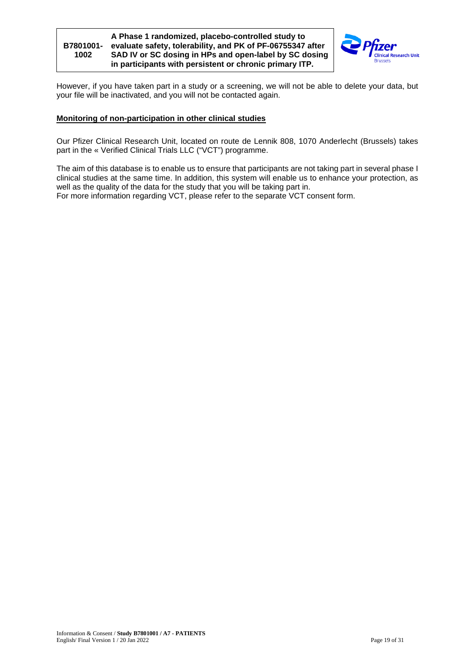

However, if you have taken part in a study or a screening, we will not be able to delete your data, but your file will be inactivated, and you will not be contacted again.

#### <span id="page-18-0"></span>**Monitoring of non-participation in other clinical studies**

Our Pfizer Clinical Research Unit, located on route de Lennik 808, 1070 Anderlecht (Brussels) takes part in the « Verified Clinical Trials LLC ("VCT") programme.

The aim of this database is to enable us to ensure that participants are not taking part in several phase I clinical studies at the same time. In addition, this system will enable us to enhance your protection, as well as the quality of the data for the study that you will be taking part in. For more information regarding VCT, please refer to the separate VCT consent form.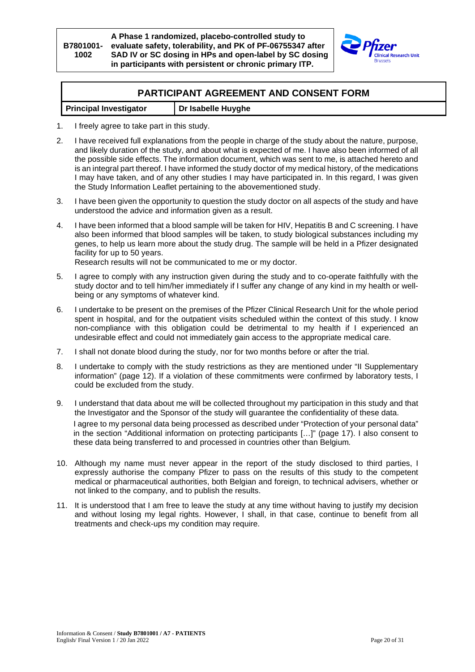

# <span id="page-19-0"></span>**PARTICIPANT AGREEMENT AND CONSENT FORM**

| <b>Principal Investigator</b> | Dr Isabelle Huyghe |
|-------------------------------|--------------------|
|                               |                    |

- 1. I freely agree to take part in this study.
- 2. I have received full explanations from the people in charge of the study about the nature, purpose, and likely duration of the study, and about what is expected of me. I have also been informed of all the possible side effects. The information document, which was sent to me, is attached hereto and is an integral part thereof. I have informed the study doctor of my medical history, of the medications I may have taken, and of any other studies I may have participated in. In this regard, I was given the Study Information Leaflet pertaining to the abovementioned study.
- 3. I have been given the opportunity to question the study doctor on all aspects of the study and have understood the advice and information given as a result.
- 4. I have been informed that a blood sample will be taken for HIV, Hepatitis B and C screening. I have also been informed that blood samples will be taken, to study biological substances including my genes, to help us learn more about the study drug. The sample will be held in a Pfizer designated facility for up to 50 years.

Research results will not be communicated to me or my doctor.

- 5. I agree to comply with any instruction given during the study and to co-operate faithfully with the study doctor and to tell him/her immediately if I suffer any change of any kind in my health or wellbeing or any symptoms of whatever kind.
- 6. I undertake to be present on the premises of the Pfizer Clinical Research Unit for the whole period spent in hospital, and for the outpatient visits scheduled within the context of this study. I know non-compliance with this obligation could be detrimental to my health if I experienced an undesirable effect and could not immediately gain access to the appropriate medical care.
- 7. I shall not donate blood during the study, nor for two months before or after the trial.
- 8. I undertake to comply with the study restrictions as they are mentioned under "II Supplementary information" (page [12\)](#page-11-1). If a violation of these commitments were confirmed by laboratory tests, I could be excluded from the study.
- 9. I understand that data about me will be collected throughout my participation in this study and that the Investigator and the Sponsor of the study will guarantee the confidentiality of these data. I agree to my personal data being processed as described under "Protection of your personal data" in the section "Additional information on protecting participants […]" (page [17\)](#page-16-0). I also consent to these data being transferred to and processed in countries other than Belgium*.*
- 10. Although my name must never appear in the report of the study disclosed to third parties, I expressly authorise the company Pfizer to pass on the results of this study to the competent medical or pharmaceutical authorities, both Belgian and foreign, to technical advisers, whether or not linked to the company, and to publish the results.
- 11. It is understood that I am free to leave the study at any time without having to justify my decision and without losing my legal rights. However, I shall, in that case, continue to benefit from all treatments and check-ups my condition may require.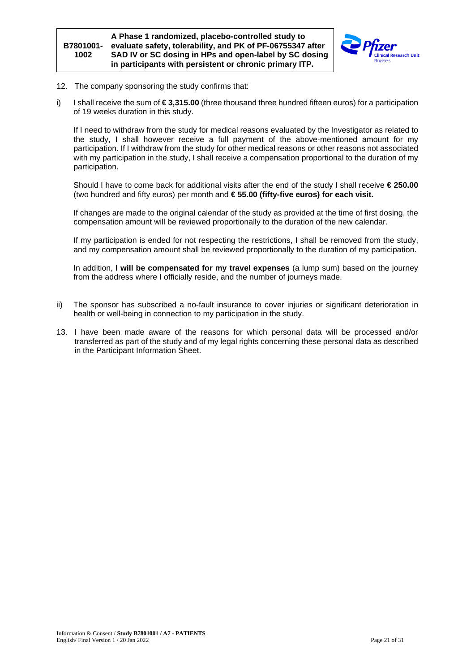

- <span id="page-20-0"></span>12. The company sponsoring the study confirms that:
- i) I shall receive the sum of **€ 3,315.00** (three thousand three hundred fifteen euros) for a participation of 19 weeks duration in this study.

If I need to withdraw from the study for medical reasons evaluated by the Investigator as related to the study, I shall however receive a full payment of the above-mentioned amount for my participation. If I withdraw from the study for other medical reasons or other reasons not associated with my participation in the study, I shall receive a compensation proportional to the duration of my participation.

Should I have to come back for additional visits after the end of the study I shall receive **€ 250.00**  (two hundred and fifty euros) per month and **€ 55.00 (fifty-five euros) for each visit.**

If changes are made to the original calendar of the study as provided at the time of first dosing, the compensation amount will be reviewed proportionally to the duration of the new calendar.

If my participation is ended for not respecting the restrictions, I shall be removed from the study, and my compensation amount shall be reviewed proportionally to the duration of my participation.

In addition, **I will be compensated for my travel expenses** (a lump sum) based on the journey from the address where I officially reside, and the number of journeys made.

- ii) The sponsor has subscribed a no-fault insurance to cover injuries or significant deterioration in health or well-being in connection to my participation in the study.
- 13. I have been made aware of the reasons for which personal data will be processed and/or transferred as part of the study and of my legal rights concerning these personal data as described in the Participant Information Sheet.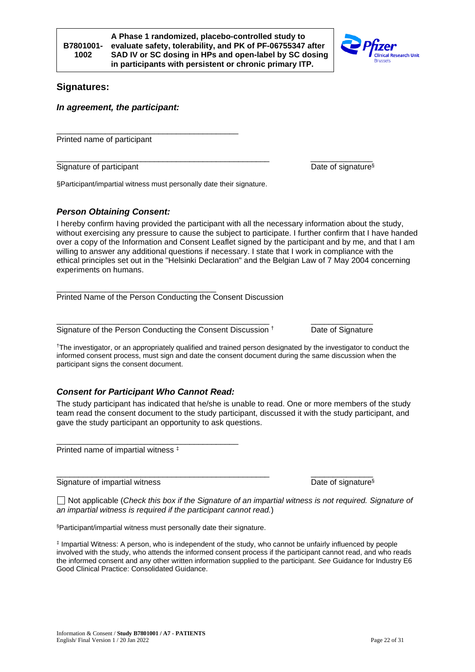# <span id="page-21-0"></span>**Signatures:**

<span id="page-21-1"></span>*In agreement, the participant:*

Printed name of participant

\_\_\_\_\_\_\_\_\_\_\_\_\_\_\_\_\_\_\_\_\_\_\_\_\_\_\_\_\_\_\_\_\_\_\_\_\_\_\_\_\_\_\_\_\_\_\_\_ \_\_\_\_\_\_\_\_\_\_\_\_\_\_ Signature of participant  $\blacksquare$ 

§Participant/impartial witness must personally date their signature.

\_\_\_\_\_\_\_\_\_\_\_\_\_\_\_\_\_\_\_\_\_\_\_\_\_\_\_\_\_\_\_\_\_\_\_\_\_\_\_\_\_

# <span id="page-21-2"></span>*Person Obtaining Consent:*

I hereby confirm having provided the participant with all the necessary information about the study, without exercising any pressure to cause the subject to participate. I further confirm that I have handed over a copy of the Information and Consent Leaflet signed by the participant and by me, and that I am willing to answer any additional questions if necessary. I state that I work in compliance with the ethical principles set out in the "Helsinki Declaration" and the Belgian Law of 7 May 2004 concerning experiments on humans.

\_\_\_\_\_\_\_\_\_\_\_\_\_\_\_\_\_\_\_\_\_\_\_\_\_\_\_\_\_\_\_\_\_\_\_\_ Printed Name of the Person Conducting the Consent Discussion

\_\_\_\_\_\_\_\_\_\_\_\_\_\_\_\_\_\_\_\_\_\_\_\_\_\_\_\_\_\_\_\_\_\_\_\_\_\_\_\_\_\_\_\_\_\_\_\_ \_\_\_\_\_\_\_\_\_\_\_\_\_\_ Signature of the Person Conducting the Consent Discussion <sup>†</sup> Date of Signature

†The investigator, or an appropriately qualified and trained person designated by the investigator to conduct the informed consent process, must sign and date the consent document during the same discussion when the participant signs the consent document.

# <span id="page-21-3"></span>*Consent for Participant Who Cannot Read:*

The study participant has indicated that he/she is unable to read. One or more members of the study team read the consent document to the study participant, discussed it with the study participant, and gave the study participant an opportunity to ask questions.

\_\_\_\_\_\_\_\_\_\_\_\_\_\_\_\_\_\_\_\_\_\_\_\_\_\_\_\_\_\_\_\_\_\_\_\_\_\_\_\_\_ Printed name of impartial witness ‡

Signature of impartial witness Date of signature<sup>§</sup>

Not applicable (*Check this box if the Signature of an impartial witness is not required. Signature of an impartial witness is required if the participant cannot read.*)

\_\_\_\_\_\_\_\_\_\_\_\_\_\_\_\_\_\_\_\_\_\_\_\_\_\_\_\_\_\_\_\_\_\_\_\_\_\_\_\_\_\_\_\_\_\_\_\_ \_\_\_\_\_\_\_\_\_\_\_\_\_\_

§Participant/impartial witness must personally date their signature.

‡ Impartial Witness: A person, who is independent of the study, who cannot be unfairly influenced by people involved with the study, who attends the informed consent process if the participant cannot read, and who reads the informed consent and any other written information supplied to the participant. *See* Guidance for Industry E6 Good Clinical Practice: Consolidated Guidance.



**B7801001- 1002**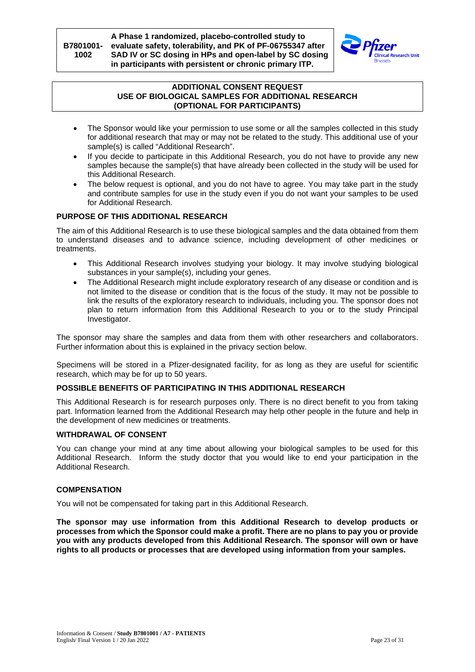

#### **ADDITIONAL CONSENT REQUEST USE OF BIOLOGICAL SAMPLES FOR ADDITIONAL RESEARCH (OPTIONAL FOR PARTICIPANTS)**

- <span id="page-22-0"></span>The Sponsor would like your permission to use some or all the samples collected in this study for additional research that may or may not be related to the study. This additional use of your sample(s) is called "Additional Research".
- If you decide to participate in this Additional Research, you do not have to provide any new samples because the sample(s) that have already been collected in the study will be used for this Additional Research.
- The below request is optional, and you do not have to agree. You may take part in the study and contribute samples for use in the study even if you do not want your samples to be used for Additional Research.

### **PURPOSE OF THIS ADDITIONAL RESEARCH**

The aim of this Additional Research is to use these biological samples and the data obtained from them to understand diseases and to advance science, including development of other medicines or treatments.

- This Additional Research involves studying your biology. It may involve studying biological substances in your sample(s), including your genes.
- The Additional Research might include exploratory research of any disease or condition and is not limited to the disease or condition that is the focus of the study. It may not be possible to link the results of the exploratory research to individuals, including you. The sponsor does not plan to return information from this Additional Research to you or to the study Principal Investigator.

The sponsor may share the samples and data from them with other researchers and collaborators. Further information about this is explained in the privacy section below.

Specimens will be stored in a Pfizer-designated facility, for as long as they are useful for scientific research, which may be for up to 50 years.

### **POSSIBLE BENEFITS OF PARTICIPATING IN THIS ADDITIONAL RESEARCH**

This Additional Research is for research purposes only. There is no direct benefit to you from taking part. Information learned from the Additional Research may help other people in the future and help in the development of new medicines or treatments.

# **WITHDRAWAL OF CONSENT**

You can change your mind at any time about allowing your biological samples to be used for this Additional Research. Inform the study doctor that you would like to end your participation in the Additional Research.

### **COMPENSATION**

You will not be compensated for taking part in this Additional Research.

**The sponsor may use information from this Additional Research to develop products or processes from which the Sponsor could make a profit. There are no plans to pay you or provide you with any products developed from this Additional Research. The sponsor will own or have rights to all products or processes that are developed using information from your samples.**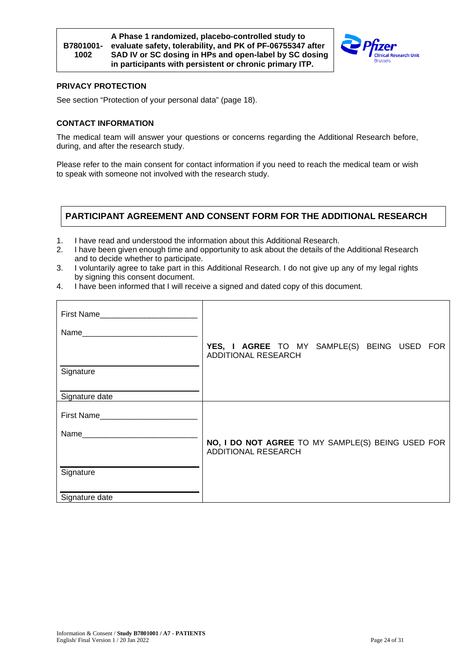



## **PRIVACY PROTECTION**

See section "Protection of your personal data" (page [18\)](#page-17-1).

#### **CONTACT INFORMATION**

The medical team will answer your questions or concerns regarding the Additional Research before, during, and after the research study.

Please refer to the main consent for contact information if you need to reach the medical team or wish to speak with someone not involved with the research study.

# **PARTICIPANT AGREEMENT AND CONSENT FORM FOR THE ADDITIONAL RESEARCH**

- 1. I have read and understood the information about this Additional Research.
- 2. I have been given enough time and opportunity to ask about the details of the Additional Research and to decide whether to participate.
- 3. I voluntarily agree to take part in this Additional Research. I do not give up any of my legal rights by signing this consent document.
- 4. I have been informed that I will receive a signed and dated copy of this document.

| First Name                                                                                                      |                                                                           |
|-----------------------------------------------------------------------------------------------------------------|---------------------------------------------------------------------------|
| Name <b>Name</b>                                                                                                |                                                                           |
|                                                                                                                 | YES, I AGREE TO MY SAMPLE(S) BEING USED FOR<br><b>ADDITIONAL RESEARCH</b> |
| Signature                                                                                                       |                                                                           |
| Signature date                                                                                                  |                                                                           |
| First Name                                                                                                      |                                                                           |
| Name and the state of the state of the state of the state of the state of the state of the state of the state o | NO, I DO NOT AGREE TO MY SAMPLE(S) BEING USED FOR                         |
|                                                                                                                 | <b>ADDITIONAL RESEARCH</b>                                                |
| Signature                                                                                                       |                                                                           |
| Signature date                                                                                                  |                                                                           |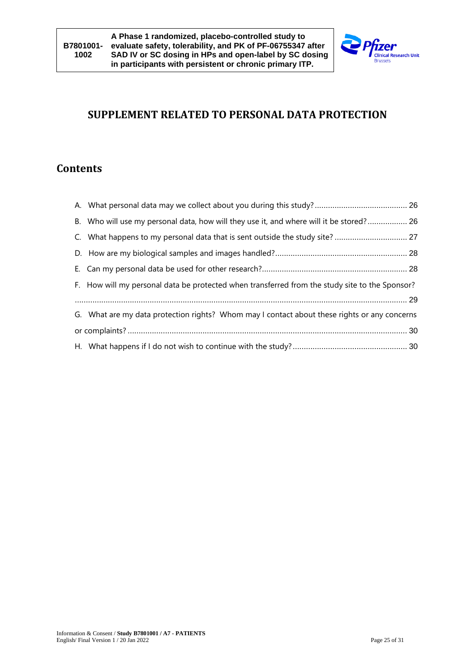

# **SUPPLEMENT RELATED TO PERSONAL DATA PROTECTION**

# **Contents**

| B. Who will use my personal data, how will they use it, and where will it be stored? 26        |  |
|------------------------------------------------------------------------------------------------|--|
| C. What happens to my personal data that is sent outside the study site?  27                   |  |
|                                                                                                |  |
|                                                                                                |  |
| F. How will my personal data be protected when transferred from the study site to the Sponsor? |  |
|                                                                                                |  |
| G. What are my data protection rights? Whom may I contact about these rights or any concerns   |  |
|                                                                                                |  |
|                                                                                                |  |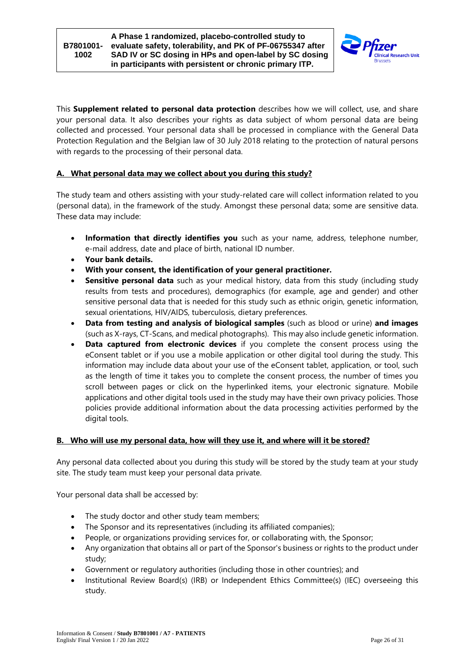

This **Supplement related to personal data protection** describes how we will collect, use, and share your personal data. It also describes your rights as data subject of whom personal data are being collected and processed. Your personal data shall be processed in compliance with the General Data Protection Regulation and the Belgian law of 30 July 2018 relating to the protection of natural persons with regards to the processing of their personal data.

# <span id="page-25-0"></span>**A. What personal data may we collect about you during this study?**

The study team and others assisting with your study-related care will collect information related to you (personal data), in the framework of the study. Amongst these personal data; some are sensitive data. These data may include:

- **Information that directly identifies you** such as your name, address, telephone number, e-mail address, date and place of birth, national ID number.
- **Your bank details.**
- **With your consent, the identification of your general practitioner.**
- **Sensitive personal data** such as your medical history, data from this study (including study results from tests and procedures), demographics (for example, age and gender) and other sensitive personal data that is needed for this study such as ethnic origin, genetic information, sexual orientations, HIV/AIDS, tuberculosis, dietary preferences.
- **Data from testing and analysis of biological samples** (such as blood or urine) **and images** (such as X-rays, CT-Scans, and medical photographs). This may also include genetic information.
- **Data captured from electronic devices** if you complete the consent process using the eConsent tablet or if you use a mobile application or other digital tool during the study. This information may include data about your use of the eConsent tablet, application, or tool, such as the length of time it takes you to complete the consent process, the number of times you scroll between pages or click on the hyperlinked items, your electronic signature. Mobile applications and other digital tools used in the study may have their own privacy policies. Those policies provide additional information about the data processing activities performed by the digital tools.

### <span id="page-25-1"></span>**B. Who will use my personal data, how will they use it, and where will it be stored?**

Any personal data collected about you during this study will be stored by the study team at your study site. The study team must keep your personal data private.

Your personal data shall be accessed by:

- The study doctor and other study team members;
- The Sponsor and its representatives (including its affiliated companies);
- People, or organizations providing services for, or collaborating with, the Sponsor;
- Any organization that obtains all or part of the Sponsor's business or rights to the product under study;
- Government or regulatory authorities (including those in other countries); and
- Institutional Review Board(s) (IRB) or Independent Ethics Committee(s) (IEC) overseeing this study.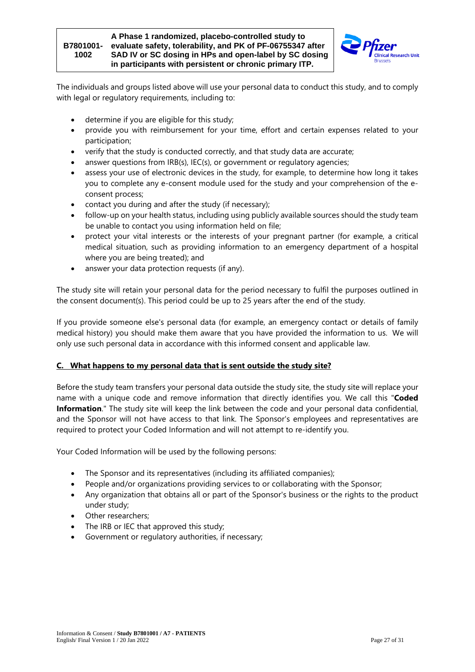#### **B7801001- evaluate safety, tolerability, and PK of PF-06755347 after 1002 A Phase 1 randomized, placebo-controlled study to SAD IV or SC dosing in HPs and open-label by SC dosing in participants with persistent or chronic primary ITP.**



The individuals and groups listed above will use your personal data to conduct this study, and to comply with legal or regulatory requirements, including to:

- determine if you are eligible for this study;
- provide you with reimbursement for your time, effort and certain expenses related to your participation;
- verify that the study is conducted correctly, and that study data are accurate;
- answer questions from IRB(s), IEC(s), or government or regulatory agencies;
- assess your use of electronic devices in the study, for example, to determine how long it takes you to complete any e-consent module used for the study and your comprehension of the econsent process;
- contact you during and after the study (if necessary);
- follow-up on your health status, including using publicly available sources should the study team be unable to contact you using information held on file;
- protect your vital interests or the interests of your pregnant partner (for example, a critical medical situation, such as providing information to an emergency department of a hospital where you are being treated); and
- answer your data protection requests (if any).

The study site will retain your personal data for the period necessary to fulfil the purposes outlined in the consent document(s). This period could be up to 25 years after the end of the study.

If you provide someone else's personal data (for example, an emergency contact or details of family medical history) you should make them aware that you have provided the information to us. We will only use such personal data in accordance with this informed consent and applicable law.

### <span id="page-26-0"></span>**C. What happens to my personal data that is sent outside the study site?**

Before the study team transfers your personal data outside the study site, the study site will replace your name with a unique code and remove information that directly identifies you. We call this "**Coded Information**." The study site will keep the link between the code and your personal data confidential, and the Sponsor will not have access to that link. The Sponsor's employees and representatives are required to protect your Coded Information and will not attempt to re-identify you.

Your Coded Information will be used by the following persons:

- The Sponsor and its representatives (including its affiliated companies);
- People and/or organizations providing services to or collaborating with the Sponsor;
- Any organization that obtains all or part of the Sponsor's business or the rights to the product under study;
- Other researchers;
- The IRB or IEC that approved this study;
- Government or regulatory authorities, if necessary;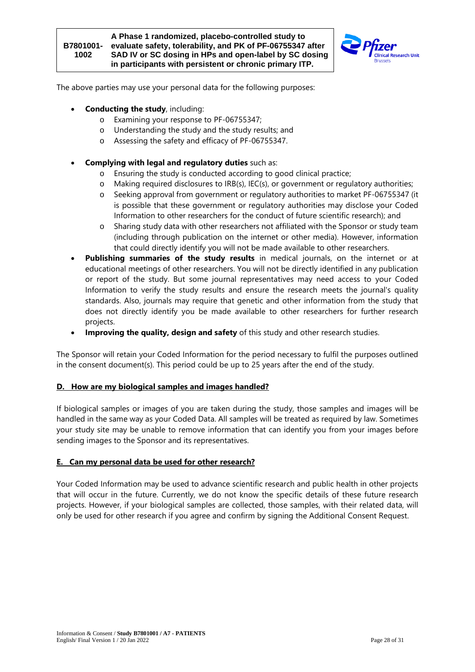

The above parties may use your personal data for the following purposes:

- **Conducting the study**, including:
	- o Examining your response to PF-06755347;
	- o Understanding the study and the study results; and
	- o Assessing the safety and efficacy of PF-06755347.
- **Complying with legal and regulatory duties** such as:
	- o Ensuring the study is conducted according to good clinical practice;
	- o Making required disclosures to IRB(s), IEC(s), or government or regulatory authorities;
	- o Seeking approval from government or regulatory authorities to market PF-06755347 (it is possible that these government or regulatory authorities may disclose your Coded Information to other researchers for the conduct of future scientific research); and
	- o Sharing study data with other researchers not affiliated with the Sponsor or study team (including through publication on the internet or other media). However, information that could directly identify you will not be made available to other researchers.
- Publishing summaries of the study results in medical journals, on the internet or at educational meetings of other researchers. You will not be directly identified in any publication or report of the study. But some journal representatives may need access to your Coded Information to verify the study results and ensure the research meets the journal's quality standards. Also, journals may require that genetic and other information from the study that does not directly identify you be made available to other researchers for further research projects.
- **Improving the quality, design and safety** of this study and other research studies.

The Sponsor will retain your Coded Information for the period necessary to fulfil the purposes outlined in the consent document(s). This period could be up to 25 years after the end of the study.

### <span id="page-27-0"></span>**D. How are my biological samples and images handled?**

If biological samples or images of you are taken during the study, those samples and images will be handled in the same way as your Coded Data. All samples will be treated as required by law. Sometimes your study site may be unable to remove information that can identify you from your images before sending images to the Sponsor and its representatives.

### <span id="page-27-1"></span>**E. Can my personal data be used for other research?**

Your Coded Information may be used to advance scientific research and public health in other projects that will occur in the future. Currently, we do not know the specific details of these future research projects. However, if your biological samples are collected, those samples, with their related data, will only be used for other research if you agree and confirm by signing the Additional Consent Request.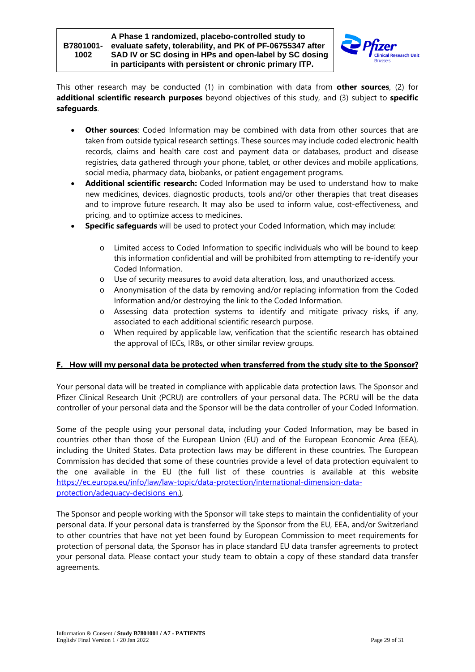

This other research may be conducted (1) in combination with data from **other sources**, (2) for **additional scientific research purposes** beyond objectives of this study, and (3) subject to **specific safeguards**.

- **Other sources**: Coded Information may be combined with data from other sources that are taken from outside typical research settings. These sources may include coded electronic health records, claims and health care cost and payment data or databases, product and disease registries, data gathered through your phone, tablet, or other devices and mobile applications, social media, pharmacy data, biobanks, or patient engagement programs.
- **Additional scientific research:** Coded Information may be used to understand how to make new medicines, devices, diagnostic products, tools and/or other therapies that treat diseases and to improve future research. It may also be used to inform value, cost-effectiveness, and pricing, and to optimize access to medicines.
- **Specific safeguards** will be used to protect your Coded Information, which may include:
	- o Limited access to Coded Information to specific individuals who will be bound to keep this information confidential and will be prohibited from attempting to re-identify your Coded Information.
	- o Use of security measures to avoid data alteration, loss, and unauthorized access.
	- o Anonymisation of the data by removing and/or replacing information from the Coded Information and/or destroying the link to the Coded Information.
	- o Assessing data protection systems to identify and mitigate privacy risks, if any, associated to each additional scientific research purpose.
	- o When required by applicable law, verification that the scientific research has obtained the approval of IECs, IRBs, or other similar review groups.

### <span id="page-28-0"></span>**F. How will my personal data be protected when transferred from the study site to the Sponsor?**

Your personal data will be treated in compliance with applicable data protection laws. The Sponsor and Pfizer Clinical Research Unit (PCRU) are controllers of your personal data. The PCRU will be the data controller of your personal data and the Sponsor will be the data controller of your Coded Information.

Some of the people using your personal data, including your Coded Information, may be based in countries other than those of the European Union (EU) and of the European Economic Area (EEA), including the United States. Data protection laws may be different in these countries. The European Commission has decided that some of these countries provide a level of data protection equivalent to the one available in the EU (the full list of these countries is available at this website https://ec.europa.eu/info/law/law-topic/data-protection/international-dimension-dataprotection/adequacy-decisions en.).

The Sponsor and people working with the Sponsor will take steps to maintain the confidentiality of your personal data. If your personal data is transferred by the Sponsor from the EU, EEA, and/or Switzerland to other countries that have not yet been found by European Commission to meet requirements for protection of personal data, the Sponsor has in place standard EU data transfer agreements to protect your personal data. Please contact your study team to obtain a copy of these standard data transfer agreements.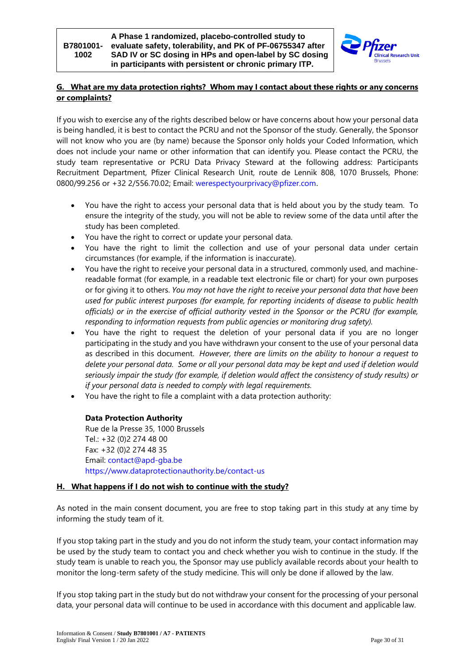

# <span id="page-29-0"></span>**G. What are my data protection rights? Whom may I contact about these rights or any concerns or complaints?**

If you wish to exercise any of the rights described below or have concerns about how your personal data is being handled, it is best to contact the PCRU and not the Sponsor of the study. Generally, the Sponsor will not know who you are (by name) because the Sponsor only holds your Coded Information, which does not include your name or other information that can identify you. Please contact the PCRU, the study team representative or PCRU Data Privacy Steward at the following address: Participants Recruitment Department, Pfizer Clinical Research Unit, route de Lennik 808, 1070 Brussels, Phone: 0800/99.256 or +32 2/556.70.02; Email: werespectyourprivacy@pfizer.com.

- You have the right to access your personal data that is held about you by the study team. To ensure the integrity of the study, you will not be able to review some of the data until after the study has been completed.
- You have the right to correct or update your personal data.
- You have the right to limit the collection and use of your personal data under certain circumstances (for example, if the information is inaccurate).
- You have the right to receive your personal data in a structured, commonly used, and machinereadable format (for example, in a readable text electronic file or chart) for your own purposes or for giving it to others. *You may not have the right to receive your personal data that have been used for public interest purposes (for example, for reporting incidents of disease to public health officials) or in the exercise of official authority vested in the Sponsor or the PCRU (for example, responding to information requests from public agencies or monitoring drug safety).*
- You have the right to request the deletion of your personal data if you are no longer participating in the study and you have withdrawn your consent to the use of your personal data as described in this document. *However, there are limits on the ability to honour a request to delete your personal data. Some or all your personal data may be kept and used if deletion would seriously impair the study (for example, if deletion would affect the consistency of study results) or if your personal data is needed to comply with legal requirements.*
- You have the right to file a complaint with a data protection authority:

# **Data Protection Authority**

Rue de la Presse 35, 1000 Brussels Tel.: +32 (0)2 274 48 00 Fax: +32 (0)2 274 48 35 Email: contact@apd-gba.be https://www.dataprotectionauthority.be/contact-us

# <span id="page-29-1"></span>**H. What happens if I do not wish to continue with the study?**

As noted in the main consent document, you are free to stop taking part in this study at any time by informing the study team of it.

If you stop taking part in the study and you do not inform the study team, your contact information may be used by the study team to contact you and check whether you wish to continue in the study. If the study team is unable to reach you, the Sponsor may use publicly available records about your health to monitor the long-term safety of the study medicine. This will only be done if allowed by the law.

If you stop taking part in the study but do not withdraw your consent for the processing of your personal data, your personal data will continue to be used in accordance with this document and applicable law.